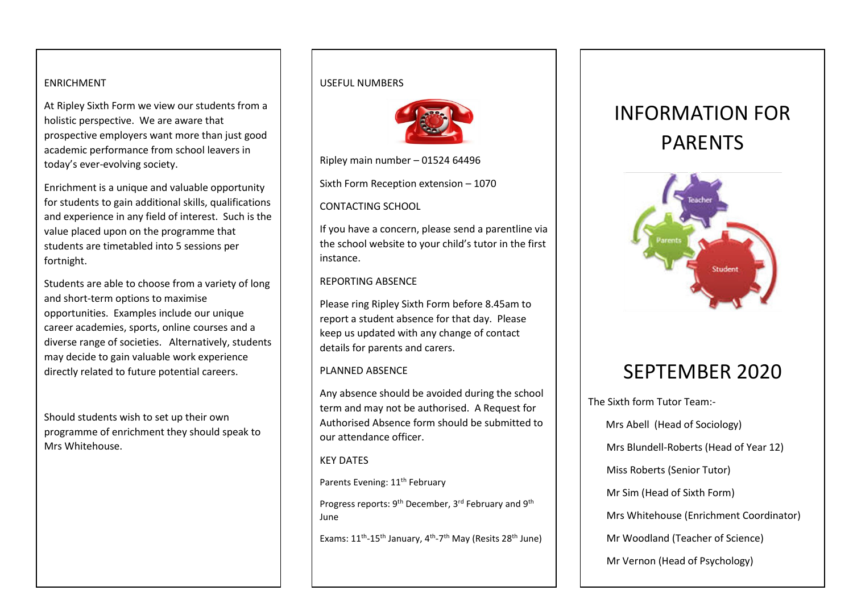### ENRICHMENT

academic performance from school leavers in At Ripley Sixth Form we view our students from a holistic perspective. We are aware that prospective employers want more than just good today's ever-evolving society.

Enrichment is a unique and valuable opportunity for students to gain additional skills, qualifications and experience in any field of interest. Such is the value placed upon on the programme that students are timetabled into 5 sessions per fortnight.

Students are able to choose from a variety of long and short-term options to maximise opportunities. Examples include our unique career academies, sports, online courses and a diverse range of societies. Alternatively, students may decide to gain valuable work experience directly related to future potential careers.

Should students wish to set up their own programme of enrichment they should speak to Mrs Whitehouse.

#### USEFUL NUMBERS



Ripley main number – 01524 64496

Sixth Form Reception extension – 1070

#### CONTACTING SCHOOL

If you have a concern, please send a parentline via the school website to your child's tutor in the first instance.

#### REPORTING ABSENCE

Please ring Ripley Sixth Form before 8.45am to report a student absence for that day. Please keep us updated with any change of contact details for parents and carers.

#### PLANNED ABSENCE

Any absence should be avoided during the school term and may not be authorised. A Request for Authorised Absence form should be submitted to our attendance officer.

#### KEY DATES

Parents Evening: 11<sup>th</sup> February

Progress reports: 9<sup>th</sup> December, 3<sup>rd</sup> February and 9<sup>th</sup> June

Exams: 11<sup>th</sup>-15<sup>th</sup> January, 4<sup>th</sup>-7<sup>th</sup> May (Resits 28<sup>th</sup> June)

# INFORMATION FOR PARENTS



## SEPTEMBER 2020

The Sixth form Tutor Team:- Mrs Abell (Head of Sociology) Mrs Blundell-Roberts (Head of Year 12) Miss Roberts (Senior Tutor) Mr Sim (Head of Sixth Form) Mrs Whitehouse (Enrichment Coordinator) Mr Woodland (Teacher of Science) Mr Vernon (Head of Psychology)